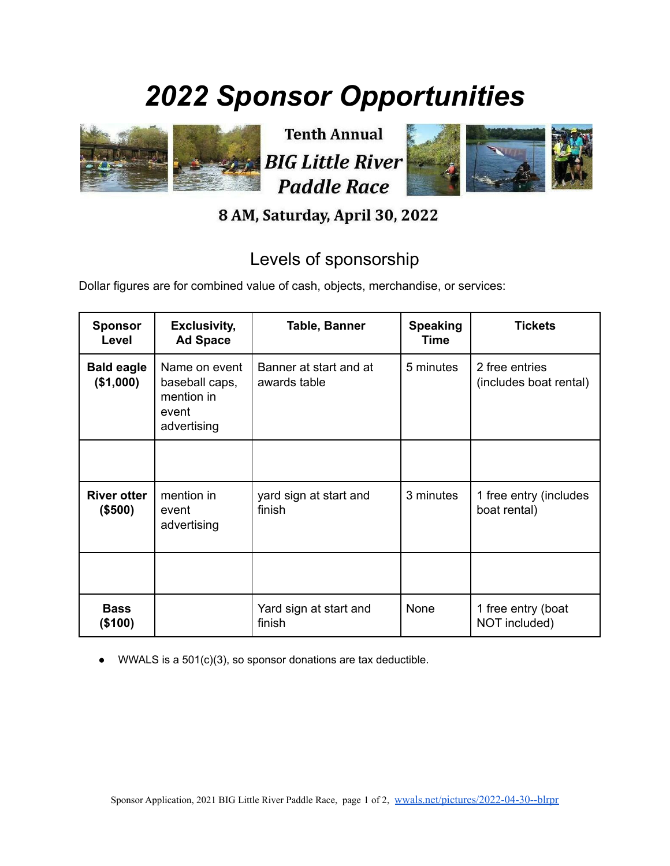## *2022 Sponsor Opportunities*



**Tenth Annual BIG Little River Paddle Race** 



## 8 AM, Saturday, April 30, 2022

## Levels of sponsorship

Dollar figures are for combined value of cash, objects, merchandise, or services:

| <b>Sponsor</b><br>Level        | <b>Exclusivity,</b><br><b>Ad Space</b>                                | Table, Banner                          | <b>Speaking</b><br>Time | <b>Tickets</b>                           |
|--------------------------------|-----------------------------------------------------------------------|----------------------------------------|-------------------------|------------------------------------------|
| <b>Bald eagle</b><br>(\$1,000) | Name on event<br>baseball caps,<br>mention in<br>event<br>advertising | Banner at start and at<br>awards table | 5 minutes               | 2 free entries<br>(includes boat rental) |
|                                |                                                                       |                                        |                         |                                          |
| <b>River otter</b><br>(\$500)  | mention in<br>event<br>advertising                                    | yard sign at start and<br>finish       | 3 minutes               | 1 free entry (includes<br>boat rental)   |
|                                |                                                                       |                                        |                         |                                          |
| <b>Bass</b><br>(\$100)         |                                                                       | Yard sign at start and<br>finish       | <b>None</b>             | 1 free entry (boat<br>NOT included)      |

WWALS is a  $501(c)(3)$ , so sponsor donations are tax deductible.